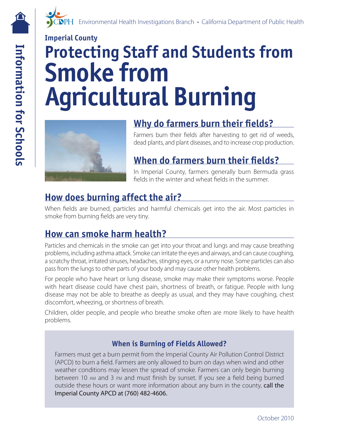# **Imperial County Protecting Staff and Students from Smoke from Agricultural Burning**



## **Why do farmers burn their felds?**

Farmers burn their felds after harvesting to get rid of weeds, dead plants, and plant diseases, and to increase crop production.

## **When do farmers burn their felds?**

In Imperial County, farmers generally burn Bermuda grass felds in the winter and wheat felds in the summer.

## **How does burning affect the air?**

When felds are burned, particles and harmful chemicals get into the air. Most particles in smoke from burning felds are very tiny.

#### **How can smoke harm health?**

Particles and chemicals in the smoke can get into your throat and lungs and may cause breathing problems, including asthma attack. Smoke can irritate the eyes and airways, and can cause coughing, a scratchy throat, irritated sinuses, headaches, stinging eyes, or a runny nose. Some particles can also pass from the lungs to other parts of your body and may cause other health problems.

For people who have heart or lung disease, smoke may make their symptoms worse. People with heart disease could have chest pain, shortness of breath, or fatigue. People with lung disease may not be able to breathe as deeply as usual, and they may have coughing, chest discomfort, wheezing, or shortness of breath.

Children, older people, and people who breathe smoke often are more likely to have health problems.

#### **When is Burning of Fields Allowed?**

between 10 AM and 3 PM and must finish by sunset. If you see a field being burned Farmers must get a burn permit from the Imperial County Air Pollution Control District (APCD) to burn a field. Farmers are only allowed to burn on days when wind and other weather conditions may lessen the spread of smoke. Farmers can only begin burning outside these hours or want more information about any burn in the county, call the Imperial County APCD at (760) 482-4606.